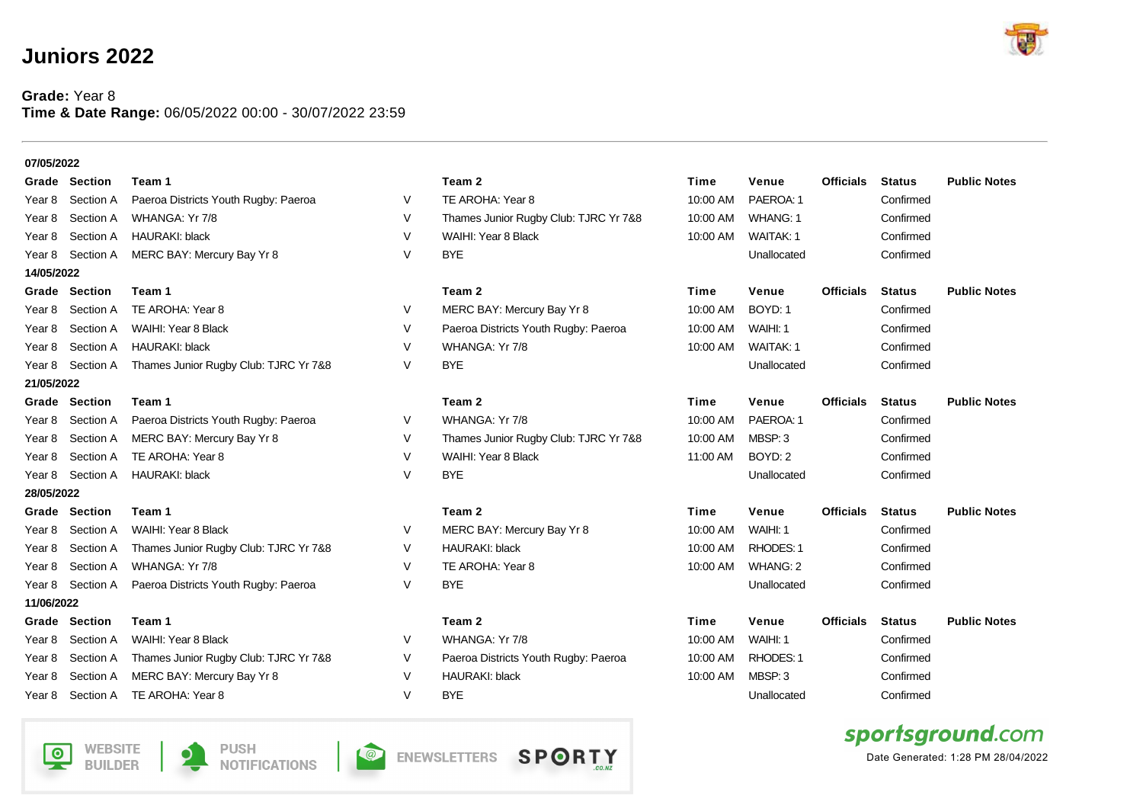## **Juniors 2022**

## **Grade:** Year 8 **Time & Date Range:** 06/05/2022 00:00 - 30/07/2022 23:59





 $\bullet$ 



**NOTIFICATIONS** 

**ENEWSLETTERS**